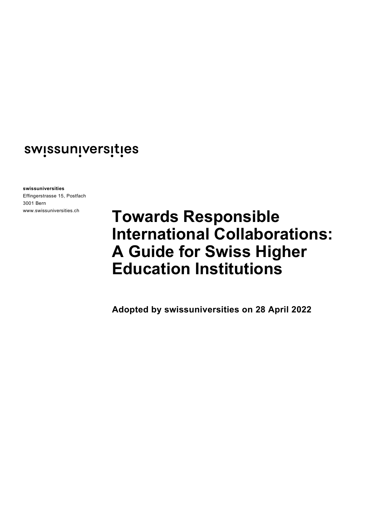# swissuniversities

**swissuniversities**

Effingerstrasse 15, Postfach 3001 Bern www.swissuniversities.ch

# **Towards Responsible International Collaborations: A Guide for Swiss Higher Education Institutions**

**Adopted by swissuniversities on 28 April 2022**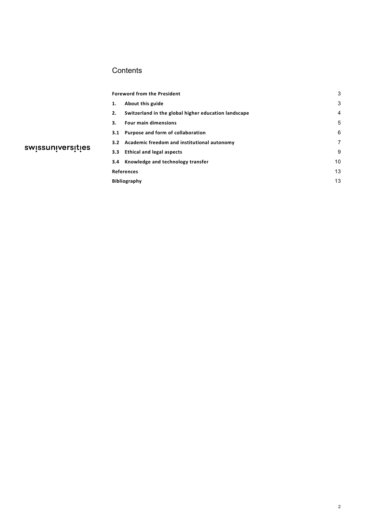# **Contents**

|                   | <b>Foreword from the President</b>                         | 3  |
|-------------------|------------------------------------------------------------|----|
|                   | About this guide<br>1.                                     | 3  |
| swissuniversities | Switzerland in the global higher education landscape<br>2. | 4  |
|                   | <b>Four main dimensions</b><br>3.                          | 5  |
|                   | 3.1 Purpose and form of collaboration                      | 6  |
|                   | 3.2 Academic freedom and institutional autonomy            | 7  |
|                   | 3.3 Ethical and legal aspects                              | 9  |
|                   | 3.4 Knowledge and technology transfer                      | 10 |
|                   | References                                                 | 13 |
|                   | <b>Bibliography</b>                                        | 13 |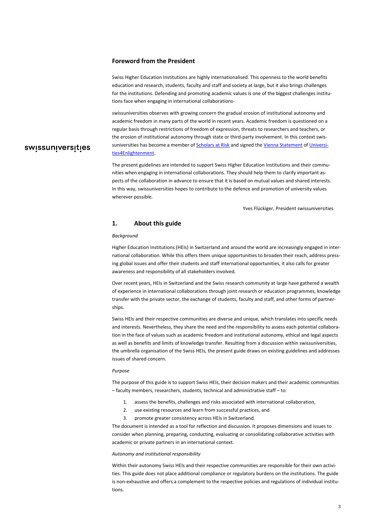#### <span id="page-2-0"></span>**Foreword from the President**

Swiss Higher Education Institutions are highly internationalised. This openness to the world benefits education and research, students, faculty and staff and society at large, but it also brings challenges for the institutions. Defending and promoting academic values is one of the biggest challenges institutions face when engaging in international collaborations-

swissuniversities observes with growing concern the gradual erosion of institutional autonomy and academic freedom in many parts of the world in recent years. Academic freedom is questioned on a regular basis through restrictions of freedom of expression, threats to researchers and teachers, or the erosion of institutional autonomy through state or third-party involvement. In this context swissuniversities has become a member o[f Scholars at Risk](https://www.scholarsatrisk.org/) and signed th[e Vienna Statement](https://u4e.info/viennastatement) o[f Universi](https://u4e.info/)[ties4Enlightenment.](https://u4e.info/) 

## The present guidelines are intended to support Swiss Higher Education Institutions and their communities when engaging in international collaborations. They should help them to clarify important aspects of the collaboration in advance to ensure that it is based on mutual values and shared interests. In this way, swissuniversities hopes to contribute to the defence and promotion of university values wherever possible.

Yves Flückiger, President swissuniversities

#### <span id="page-2-1"></span>**1. About this guide**

#### *Background*

swissuniversities

Higher Education Institutions (HEIs) in Switzerland and around the world are increasingly engaged in international collaboration. While this offers them unique opportunities to broaden their reach, address pressing global issues and offer their students and staff international opportunities, it also calls for greater awareness and responsibility of all stakeholders involved.

Over recent years, HEIs in Switzerland and the Swiss research community at large have gathered a wealth of experience in international collaborations through joint research or education programmes, knowledge transfer with the private sector, the exchange of students, faculty and staff, and other forms of partnerships.

Swiss HEIs and their respective communities are diverse and unique, which translates into specific needs and interests. Nevertheless, they share the need and the responsibility to assess each potential collaboration in the face of values such as academic freedom and institutional autonomy, ethical and legal aspects as well as benefits and limits of knowledge transfer. Resulting from a discussion within swissuniversities, the umbrella organisation of the Swiss HEIs, the present guide draws on existing guidelines and addresses issues of shared concern.

#### *Purpose*

The purpose of this guide is to support Swiss HEIs, their decision makers and their academic communities – faculty members, researchers, students, technical and administrative staff – to:

- 1. assess the benefits, challenges and risks associated with international collaboration,
- 2. use existing resources and learn from successful practices, and
- 3. promote greater consistency across HEIs in Switzerland.

The document is intended as a tool for reflection and discussion. It proposes dimensions and issues to consider when planning, preparing, conducting, evaluating or consolidating collaborative activities with academic or private partners in an international context.

#### *Autonomy and institutional responsibility*

Within their autonomy Swiss HEIs and their respective communities are responsible for their own activities. This guide does not place additional compliance or regulatory burdens on the institutions. The guide is non-exhaustive and offers a complement to the respective policies and regulations of individual institutions.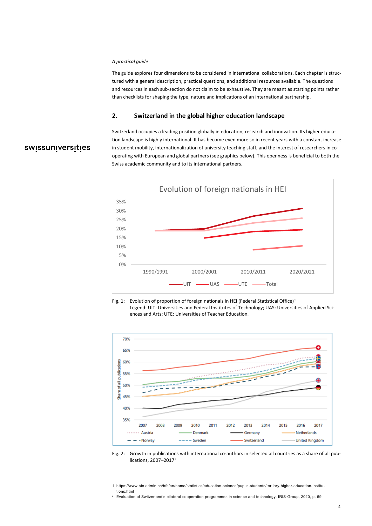#### *A practical guide*

The guide explores four dimensions to be considered in international collaborations. Each chapter is structured with a general description, practical questions, and additional resources available. The questions and resources in each sub-section do not claim to be exhaustive. They are meant as starting points rather than checklists for shaping the type, nature and implications of an international partnership.

#### <span id="page-3-0"></span>**2. Switzerland in the global higher education landscape**

# swissuniversities

Switzerland occupies a leading position globally in education, research and innovation. Its higher education landscape is highly international. It has become even more so in recent years with a constant increase in student mobility, internationalization of university teaching staff, and the interest of researchers in cooperating with European and global partners (see graphics below). This openness is beneficial to both the Swiss academic community and to its international partners.







Fig. 2: Growth in publications with international co-authors in selected all countries as a share of all publications, 2007–2017[2](#page-3-2)

<span id="page-3-1"></span><sup>1</sup> https://www.bfs.admin.ch/bfs/en/home/statistics/education-science/pupils-students/tertiary-higher-education-institutions.html

<span id="page-3-2"></span><sup>&</sup>lt;sup>2</sup> Evaluation of Switzerland's bilateral cooperation programmes in science and technology, IRIS-Group, 2020, p. 69.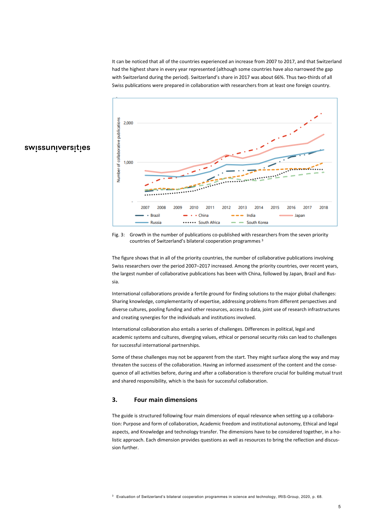It can be noticed that all of the countries experienced an increase from 2007 to 2017, and that Switzerland had the highest share in every year represented (although some countries have also narrowed the gap with Switzerland during the period). Switzerland's share in 2017 was about 66%. Thus two-thirds of all Swiss publications were prepared in collaboration with researchers from at least one foreign country.



# swissuniversities

Fig. 3: Growth in the number of publications co-published with researchers from the seven priority countries of Switzerland's bilateral cooperation programmes [3](#page-4-1)

The figure shows that in all of the priority countries, the number of collaborative publications involving Swiss researchers over the period 2007–2017 increased. Among the priority countries, over recent years, the largest number of collaborative publications has been with China, followed by Japan, Brazil and Russia.

International collaborations provide a fertile ground for finding solutions to the major global challenges: Sharing knowledge, complementarity of expertise, addressing problems from different perspectives and diverse cultures, pooling funding and other resources, access to data, joint use of research infrastructures and creating synergies for the individuals and institutions involved.

International collaboration also entails a series of challenges. Differences in political, legal and academic systems and cultures, diverging values, ethical or personal security risks can lead to challenges for successful international partnerships.

Some of these challenges may not be apparent from the start. They might surface along the way and may threaten the success of the collaboration. Having an informed assessment of the content and the consequence of all activities before, during and after a collaboration is therefore crucial for building mutual trust and shared responsibility, which is the basis for successful collaboration.

### <span id="page-4-0"></span>**3. Four main dimensions**

The guide is structured following four main dimensions of equal relevance when setting up a collaboration: Purpose and form of collaboration, Academic freedom and institutional autonomy, Ethical and legal aspects, and Knowledge and technology transfer. The dimensions have to be considered together, in a holistic approach. Each dimension provides questions as well as resources to bring the reflection and discussion further.

<span id="page-4-1"></span><sup>3</sup> Evaluation of Switzerland's bilateral cooperation programmes in science and technology, IRIS-Group, 2020, p. 68.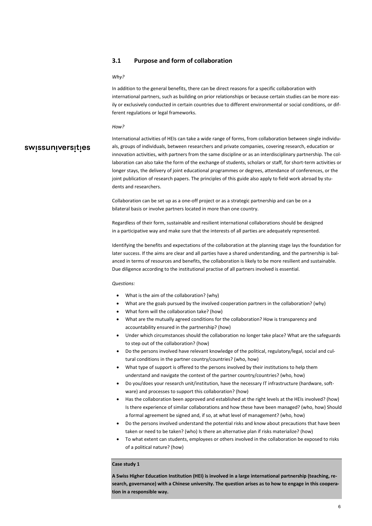#### <span id="page-5-0"></span>**3.1 Purpose and form of collaboration**

#### *Why?*

In addition to the general benefits, there can be direct reasons for a specific collaboration with international partners, such as building on prior relationships or because certain studies can be more easily or exclusively conducted in certain countries due to different environmental or social conditions, or different regulations or legal frameworks.

#### *How?*

# swissuniversities

International activities of HEIs can take a wide range of forms, from collaboration between single individuals, groups of individuals, between researchers and private companies, covering research, education or innovation activities, with partners from the same discipline or as an interdisciplinary partnership. The collaboration can also take the form of the exchange of students, scholars or staff, for short-term activities or longer stays, the delivery of joint educational programmes or degrees, attendance of conferences, or the joint publication of research papers. The principles of this guide also apply to field work abroad by students and researchers.

Collaboration can be set up as a one-off project or as a strategic partnership and can be on a bilateral basis or involve partners located in more than one country.

Regardless of their form, sustainable and resilient international collaborations should be designed in a participative way and make sure that the interests of all parties are adequately represented.

Identifying the benefits and expectations of the collaboration at the planning stage lays the foundation for later success. If the aims are clear and all parties have a shared understanding, and the partnership is balanced in terms of resources and benefits, the collaboration is likely to be more resilient and sustainable. Due diligence according to the institutional practise of all partners involved is essential.

#### *Questions:*

- What is the aim of the collaboration? (why)
- What are the goals pursued by the involved cooperation partners in the collaboration? (why)
- What form will the collaboration take? (how)
- What are the mutually agreed conditions for the collaboration? How is transparency and accountability ensured in the partnership? (how)
- Under which circumstances should the collaboration no longer take place? What are the safeguards to step out of the collaboration? (how)
- Do the persons involved have relevant knowledge of the political, regulatory/legal, social and cultural conditions in the partner country/countries? (who, how)
- What type of support is offered to the persons involved by their institutions to help them understand and navigate the context of the partner country/countries? (who, how)
- Do you/does your research unit/institution, have the necessary IT infrastructure (hardware, software) and processes to support this collaboration? (how)
- Has the collaboration been approved and established at the right levels at the HEIs involved? (how) Is there experience of similar collaborations and how these have been managed? (who, how) Should a formal agreement be signed and, if so, at what level of management? (who, how)
- Do the persons involved understand the potential risks and know about precautions that have been taken or need to be taken? (who) Is there an alternative plan if risks materialize? (how)
- To what extent can students, employees or others involved in the collaboration be exposed to risks of a political nature? (how)

#### **Case study 1**

**A Swiss Higher Education Institution (HEI) is involved in a large international partnership (teaching, research, governance) with a Chinese university. The question arises as to how to engage in this cooperation in a responsible way.**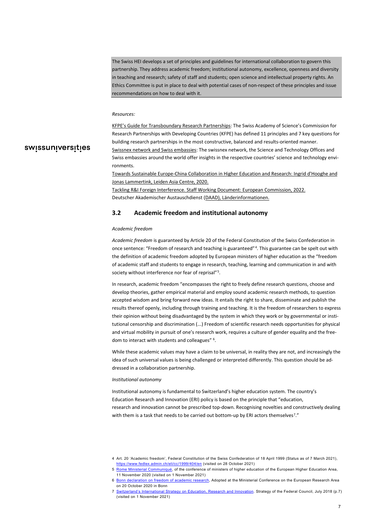The Swiss HEI develops a set of principles and guidelines for international collaboration to govern this partnership. They address academic freedom; institutional autonomy, excellence, openness and diversity in teaching and research; safety of staff and students; open science and intellectual property rights. An Ethics Committee is put in place to deal with potential cases of non-respect of these principles and issue recommendations on how to deal with it.

#### *Resources:*

# swissuniversities

[KFPE's Guide for Transboundary Research Partnerships:](https://kfpe.scnat.ch/en/11_principles_7_questions) The Swiss Academy of Science's Commission for Research Partnerships with Developing Countries (KFPE) has defined 11 principles and 7 key questions for building research partnerships in the most constructive, balanced and results-oriented manner. [Swissnex network](https://swissnex.org/) and Swiss embassies: The swissnex network, the Science and Technology Offices and Swiss embassies around the world offer insights in the respective countries' science and technology environments.

[Towards Sustainable Europe-China Collaboration in Higher Education and Research:](https://leidenasiacentre.nl/wp-content/uploads/2020/10/Towards-Sustainable-Europe-China-Collaboration-in-Higher-Education-and-Research.pdf) Ingrid d'Hooghe and Jonas Lammertink, Leiden Asia Centre, 2020.

[Tackling R&I Foreign Interference. Staff Working Document:](https://op.europa.eu/en/web/eu-law-and-publications/publication-detail/-/publication/3faf52e8-79a2-11ec-9136-01aa75ed71a1) European Commission, 2022. Deutscher Akademischer Austauschdienst [\(DAAD\), Länderinformationen.](https://www.daad.de/de/laenderinformationen/)

#### <span id="page-6-0"></span>**3.2 Academic freedom and institutional autonomy**

#### *Academic freedom*

*Academic freedom* is guaranteed by Article 20 of the Federal Constitution of the Swiss Confederation in once sentence: "Freedom of research and teaching is guaranteed"[4](#page-6-1). This guarantee can be spelt out with the definition of academic freedom adopted by European ministers of higher education as the "freedom of academic staff and students to engage in research, teaching, learning and communication in and with society without interference nor fear of reprisal"<sup>5</sup>.

In research, academic freedom "encompasses the right to freely define research questions, choose and develop theories, gather empirical material and employ sound academic research methods, to question accepted wisdom and bring forward new ideas. It entails the right to share, disseminate and publish the results thereof openly, including through training and teaching. It is the freedom of researchers to express their opinion without being disadvantaged by the system in which they work or by governmental or institutional censorship and discrimination (...) Freedom of scientific research needs opportunities for physical and virtual mobility in pursuit of one's research work, requires a culture of gender equality and the freedom to interact with students and colleagues" [6.](#page-6-3)

While these academic values may have a claim to be universal, in reality they are not, and increasingly the idea of such universal values is being challenged or interpreted differently. This question should be addressed in a collaboration partnership.

#### *Institutional autonomy*

Institutional autonomy is fundamental to Switzerland's higher education system. The country's Education Research and Innovation (ERI) policy is based on the principle that "education, research and innovation cannot be prescribed top-down. Recognising novelties and constructively dealing with them is a task that needs to be carried out bottom-up by ERI actors themselves<sup>7</sup>."

<span id="page-6-1"></span><sup>4</sup> Art. 20 'Academic freedom', Federal Constitution of the Swiss Confederation of 18 April 1999 (Status as of 7 March 2021), <https://www.fedlex.admin.ch/eli/cc/1999/404/en> (visited on 28 October 2021)

<span id="page-6-2"></span><sup>5</sup> [Rome Ministerial Communiqué,](http://www.ehea.info/Upload/Rome_Ministerial_Communique.pdf) of the conference of ministers of higher education of the European Higher Education Area, 11 November 2020 (visited on 1 November 2021)

<span id="page-6-3"></span><sup>6</sup> [Bonn declaration on freedom of academic research,](https://bmbf.bmbfcluster.de/files/_DRP-EFR-Bonner_Erkl%C3%A4rung_EN_with%20signatures_M%C3%A4rz_2021.pdf) Adopted at the Ministerial Conference on the European Research Area on 20 October 2020 in Bonn

<span id="page-6-4"></span><sup>7</sup> [Switzerland's International Strategy on Education, Research and Innovation.](https://www.sbfi.admin.ch/sbfi/en/home/research-and-innovation/international-cooperation-r-and-i.html) Strategy of the Federal Council, July 2018 (p.7) (visited on 1 November 2021)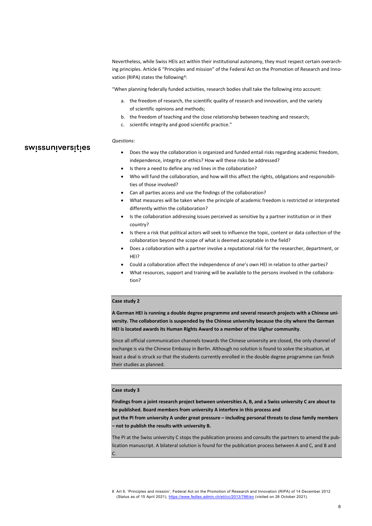Nevertheless, while Swiss HEIs act within their institutional autonomy, they must respect certain overarching principles. Article 6 "Principles and mission" of the Federal Act on the Promotion of Research and Inno-vation (RIPA) states the following<sup>[8](#page-7-0)</sup>:

"When planning federally funded activities, research bodies shall take the following into account:

- a. the freedom of research, the scientific quality of research and innovation, and the variety of scientific opinions and methods;
- b. the freedom of teaching and the close relationship between teaching and research;
- c. scientific integrity and good scientific practice."

#### *Questions:*

swissuniversities

- Does the way the collaboration is organized and funded entail risks regarding academic freedom, independence, integrity or ethics? How will these risks be addressed?
- Is there a need to define any red lines in the collaboration?
- Who will fund the collaboration, and how will this affect the rights, obligations and responsibilities of those involved?
- Can all parties access and use the findings of the collaboration?
- What measures will be taken when the principle of academic freedom is restricted or interpreted differently within the collaboration?
- Is the collaboration addressing issues perceived as sensitive by a partner institution or in their country?
- Is there a risk that political actors will seek to influence the topic, content or data collection of the collaboration beyond the scope of what is deemed acceptable in the field?
- Does a collaboration with a partner involve a reputational risk for the researcher, department, or HEI?
- Could a collaboration affect the independence of one's own HEI in relation to other parties?
- What resources, support and training will be available to the persons involved in the collaboration?

#### **Case study 2**

**A German HEI is running a double degree programme and several research projects with a Chinese university. The collaboration is suspended by the Chinese university because the city where the German HEI is located awards its Human Rights Award to a member of the Uighur community**.

Since all official communication channels towards the Chinese university are closed, the only channel of exchange is via the Chinese Embassy in Berlin. Although no solution is found to solve the situation, at least a deal is struck so that the students currently enrolled in the double degree programme can finish their studies as planned.

#### **Case study 3**

**Findings from a joint research project between universities A, B, and a Swiss university C are about to be published. Board members from university A interfere in this process and** 

**put the PI from university A under great pressure – including personal threats to close family members – not to publish the results with university B.** 

The PI at the Swiss university C stops the publication process and consults the partners to amend the publication manuscript. A bilateral solution is found for the publication process between A and C, and B and C.

<span id="page-7-0"></span><sup>8</sup> Art 6. 'Principles and mission', Federal Act on the Promotion of Research and Innovation (RIPA) of 14 December 2012 (Status as of 15 April 2021),<https://www.fedlex.admin.ch/eli/cc/2013/786/en> (visited on 28 October 2021).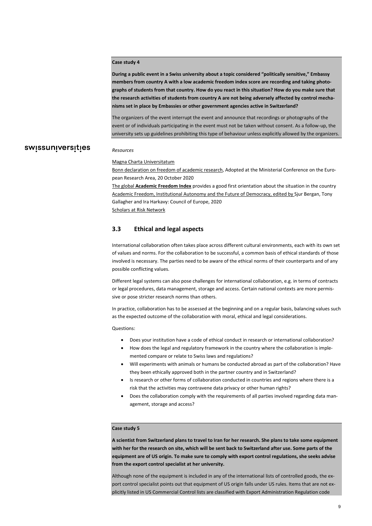#### **Case study 4**

*Resources*

**During a public event in a Swiss university about a topic considered "politically sensitive," Embassy members from country A with a low academic freedom index score are recording and taking photographs of students from that country. How do you react in this situation? How do you make sure that the research activities of students from country A are not being adversely affected by control mechanisms set in place by Embassies or other government agencies active in Switzerland?** 

The organizers of the event interrupt the event and announce that recordings or photographs of the event or of individuals participating in the event must not be taken without consent. As a follow-up, the university sets up guidelines prohibiting this type of behaviour unless explicitly allowed by the organizers.

# swissuniversities

#### [Magna Charta Universitatum](http://www.magna-charta.org/)

[Bonn declaration on freedom of academic research,](https://www.bmbf.de/bmbf/shareddocs/downloads/files/10_2_2_bonn_declaration_en_final.pdf) Adopted at the Ministerial Conference on the European Research Area, 20 October 2020

The global **[Academic Freedom Index](https://www.gppi.net/2021/03/11/free-universities)** provides a good first orientation about the situation in the country [Academic Freedom, Institutional Autonomy and the Future of Democracy,](https://book.coe.int/fr/enseignement-superieur-et-recherche/8464-academic-freedom-institutional-autonomy-and-the-future-of-democracy-council-of-europe-higher-education-series-no-24.html) edited by Sjur Bergan, Tony Gallagher and Ira Harkavy: Council of Europe, 2020 [Scholars at Risk Network](https://www.scholarsatrisk.org/)

#### <span id="page-8-0"></span>**3.3 Ethical and legal aspects**

International collaboration often takes place across different cultural environments, each with its own set of values and norms. For the collaboration to be successful, a common basis of ethical standards of those involved is necessary. The parties need to be aware of the ethical norms of their counterparts and of any possible conflicting values.

Different legal systems can also pose challenges for international collaboration, e.g. in terms of contracts or legal procedures, data management, storage and access. Certain national contexts are more permissive or pose stricter research norms than others.

In practice, collaboration has to be assessed at the beginning and on a regular basis, balancing values such as the expected outcome of the collaboration with moral, ethical and legal considerations.

Questions:

- Does your institution have a code of ethical conduct in research or international collaboration?
- How does the legal and regulatory framework in the country where the collaboration is implemented compare or relate to Swiss laws and regulations?
- Will experiments with animals or humans be conducted abroad as part of the collaboration? Have they been ethically approved both in the partner country and in Switzerland?
- Is research or other forms of collaboration conducted in countries and regions where there is a risk that the activities may contravene data privacy or other human rights?
- Does the collaboration comply with the requirements of all parties involved regarding data management, storage and access?

#### **Case study 5**

**A scientist from Switzerland plans to travel to Iran for her research. She plans to take some equipment with her for the research on site, which will be sent back to Switzerland after use. Some parts of the equipment are of US origin. To make sure to comply with export control regulations, she seeks advise from the export control specialist at her university.**

Although none of the equipment is included in any of the international lists of controlled goods, the export control specialist points out that equipment of US origin falls under US rules. Items that are not explicitly listed in US Commercial Control lists are classified with Export Administration Regulation code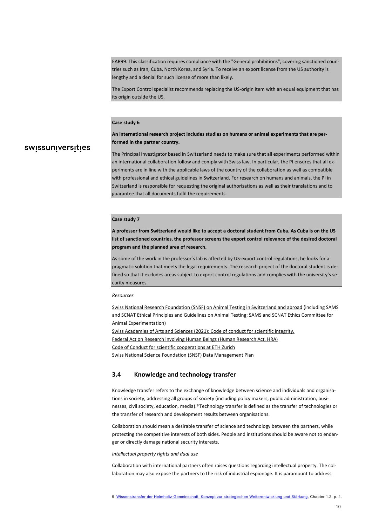EAR99. This classification requires compliance with the "General prohibitions", covering sanctioned countries such as Iran, Cuba, North Korea, and Syria. To receive an export license from the US authority is lengthy and a denial for such license of more than likely.

The Export Control specialist recommends replacing the US-origin item with an equal equipment that has its origin outside the US.

#### **Case study 6**

#### **An international research project includes studies on humans or animal experiments that are performed in the partner country.**

## swissuniversities

The Principal Investigator based in Switzerland needs to make sure that all experiments performed within an international collaboration follow and comply with Swiss law. In particular, the PI ensures that all experiments are in line with the applicable laws of the country of the collaboration as well as compatible with professional and ethical guidelines in Switzerland. For research on humans and animals, the PI in Switzerland is responsible for requesting the original authorisations as well as their translations and to guarantee that all documents fulfil the requirements.

#### **Case study 7**

**A professor from Switzerland would like to accept a doctoral student from Cuba. As Cuba is on the US list of sanctioned countries, the professor screens the export control relevance of the desired doctoral program and the planned area of research.** 

As some of the work in the professor's lab is affected by US-export control regulations, he looks for a pragmatic solution that meets the legal requirements. The research project of the doctoral student is defined so that it excludes areas subject to export control regulations and complies with the university's security measures.

#### *Resources*

[Swiss National Research Foundation \(SNSF\) on Animal Testing in Switzerland and abroad](https://www.snf.ch/en/279vMLLnUaSctG03/topic/animal-testing) (including SAMS and SCNAT Ethical Principles and Guidelines on Animal Testing; SAMS and SCNAT Ethics Committee for Animal Experimentation) [Swiss Academies of Arts and Sciences \(2021\): Code of conduct for scientific integrity.](https://api.swiss-academies.ch/site/assets/files/25709/kodex_layout_en_web.pdf) Federal Act on Research [involving Human Beings \(Human Research Act, HRA\)](https://www.fedlex.admin.ch/eli/cc/2013/617/en) [Code of Conduct for scientific cooperations at ETH Zurich](https://rechtssammlung.sp.ethz.ch/Dokumente/416en.pdf) [Swiss National Science Foundation \(SNSF\) Data Management Plan](https://www.snf.ch/en/FAiWVH4WvpKvohw9/topic/research-policies)

#### <span id="page-9-0"></span>**3.4 Knowledge and technology transfer**

Knowledge transfer refers to the exchange of knowledge between science and individuals and organisations in society, addressing all groups of society (including policy makers, public administration, businesses, civil society, education, media).[9](#page-9-1) Technology transfer is defined as the transfer of technologies or the transfer of research and development results between organisations.

Collaboration should mean a desirable transfer of science and technology between the partners, while protecting the competitive interests of both sides. People and institutions should be aware not to endanger or directly damage national security interests.

*Intellectual property rights and dual use*

<span id="page-9-1"></span>Collaboration with international partners often raises questions regarding intellectual property. The collaboration may also expose the partners to the risk of industrial espionage. It is paramount to address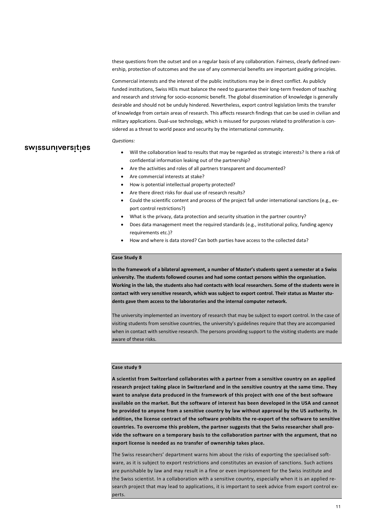these questions from the outset and on a regular basis of any collaboration. Fairness, clearly defined ownership, protection of outcomes and the use of any commercial benefits are important guiding principles.

Commercial interests and the interest of the public institutions may be in direct conflict. As publicly funded institutions, Swiss HEIs must balance the need to guarantee their long-term freedom of teaching and research and striving for socio-economic benefit. The global dissemination of knowledge is generally desirable and should not be unduly hindered. Nevertheless, export control legislation limits the transfer of knowledge from certain areas of research. This affects research findings that can be used in civilian and military applications. Dual-use technology, which is misused for purposes related to proliferation is considered as a threat to world peace and security by the international community.

#### *Questions:*

swissuniversities

- Will the collaboration lead to results that may be regarded as strategic interests? Is there a risk of confidential information leaking out of the partnership?
- Are the activities and roles of all partners transparent and documented?
- Are commercial interests at stake?
- How is potential intellectual property protected?
- Are there direct risks for dual use of research results?
- Could the scientific content and process of the project fall under international sanctions (e.g., export control restrictions?)
- What is the privacy, data protection and security situation in the partner country?
- Does data management meet the required standards (e.g., institutional policy, funding agency requirements etc.)?
- How and where is data stored? Can both parties have access to the collected data?

#### **Case Study 8**

**In the framework of a bilateral agreement, a number of Master's students spent a semester at a Swiss university. The students followed courses and had some contact persons within the organisation. Working in the lab, the students also had contacts with local researchers. Some of the students were in contact with very sensitive research, which was subject to export control. Their status as Master students gave them access to the laboratories and the internal computer network.** 

The university implemented an inventory of research that may be subject to export control. In the case of visiting students from sensitive countries, the university's guidelines require that they are accompanied when in contact with sensitive research. The persons providing support to the visiting students are made aware of these risks.

#### **Case study 9**

**A scientist from Switzerland collaborates with a partner from a sensitive country on an applied research project taking place in Switzerland and in the sensitive country at the same time. They want to analyse data produced in the framework of this project with one of the best software available on the market. But the software of interest has been developed in the USA and cannot be provided to anyone from a sensitive country by law without approval by the US authority. In addition, the license contract of the software prohibits the re-export of the software to sensitive countries. To overcome this problem, the partner suggests that the Swiss researcher shall provide the software on a temporary basis to the collaboration partner with the argument, that no export license is needed as no transfer of ownership takes place.** 

The Swiss researchers' department warns him about the risks of exporting the specialised software, as it is subject to export restrictions and constitutes an evasion of sanctions. Such actions are punishable by law and may result in a fine or even imprisonment for the Swiss institute and the Swiss scientist. In a collaboration with a sensitive country, especially when it is an applied research project that may lead to applications, it is important to seek advice from export control experts.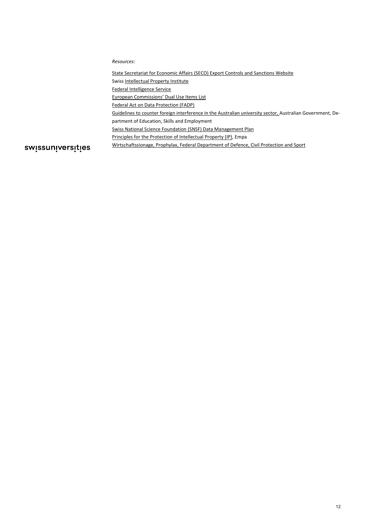*Resources:*

[State Secretariat for Economic Affairs \(SECO\) Export Controls and Sanctions Website](https://www.seco.admin.ch/seco/en/home/Aussenwirtschaftspolitik_Wirtschaftliche_Zusammenarbeit/Wirtschaftsbeziehungen/exportkontrollen-und-sanktionen.html) 

Swis[s Intellectual Property Institute](https://www.ige.ch/en/)

[Federal Intelligence Service](https://www.vbs.admin.ch/en/ddps/organisation/administrative-units/intelligence-service.html)

[European Commissions' Dual Use Items List](https://eur-lex.europa.eu/legal-content/EN/TXT/?uri=CELEX:32016R1969)

[Federal Act on Data Protection](https://www.fedlex.admin.ch/eli/cc/1993/1945_1945_1945/en) (FADP)

[Guidelines to counter foreign interference in the Australian university sector,](https://www.dese.gov.au/guidelines-counter-foreign-interference-australian-university-sector) Australian Government, Department of Education, Skills and Employment

[Swiss National Science Foundation \(SNSF\) Data Management Plan](https://www.snf.ch/en/FAiWVH4WvpKvohw9/topic/research-policies)

[Principles for the Protection of Intellectual Property \(IP\),](https://www.empa.ch/fr/web/empa/ip-policy) Empa

swissuniversities

[Wirtschaftssionage, Prophylax,](https://www.vbs.admin.ch/de/sicherheit/nachrichtenbeschaffung/wirtschaftsspionage.html) Federal Department of Defence, Civil Protection and Sport